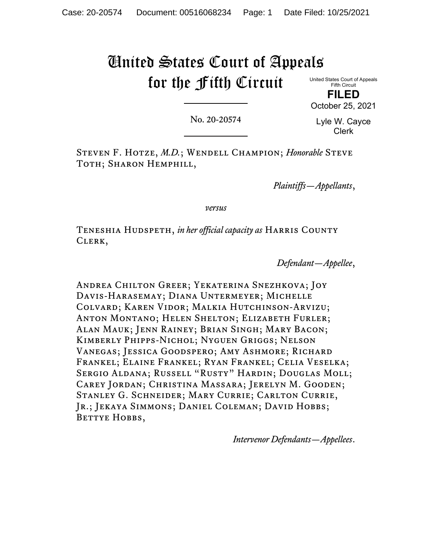# United States Court of Appeals for the Fifth Circuit

United States Court of Appeals Fifth Circuit

**FILED** October 25, 2021

No. 20-20574

Lyle W. Cayce Clerk

Steven F. Hotze, *M.D.*; Wendell Champion; *Honorable* Steve TOTH; SHARON HEMPHILL,

*Plaintiffs—Appellants*,

*versus*

Teneshia Hudspeth, *in her official capacity as* Harris County Clerk,

*Defendant—Appellee*,

Andrea Chilton Greer; Yekaterina Snezhkova; Joy Davis-Harasemay; Diana Untermeyer; Michelle Colvard; Karen Vidor; Malkia Hutchinson-Arvizu; Anton Montano; Helen Shelton; Elizabeth Furler; Alan Mauk; Jenn Rainey; Brian Singh; Mary Bacon; Kimberly Phipps-Nichol; Nyguen Griggs; Nelson Vanegas; Jessica Goodspero; Amy Ashmore; Richard Frankel; Elaine Frankel; Ryan Frankel; Celia Veselka; Sergio Aldana; Russell "Rusty" Hardin; Douglas Moll; Carey Jordan; Christina Massara; Jerelyn M. Gooden; Stanley G. Schneider; Mary Currie; Carlton Currie, Jr.; Jekaya Simmons; Daniel Coleman; David Hobbs; BETTYE HOBBS,

*Intervenor Defendants—Appellees*.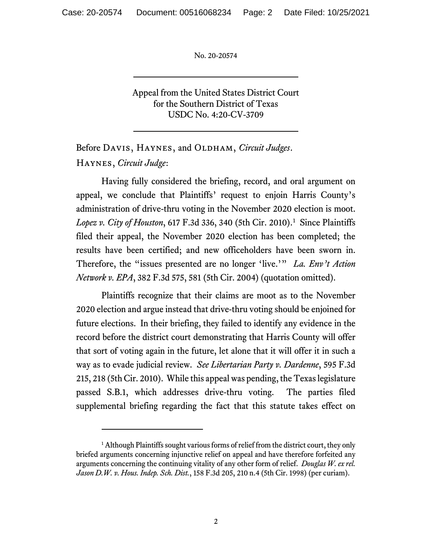Appeal from the United States District Court for the Southern District of Texas USDC No. 4:20-CV-3709

Before DAVIS, HAYNES, and OLDHAM, *Circuit Judges*. Haynes, *Circuit Judge*:

Having fully considered the briefing, record, and oral argument on appeal, we conclude that Plaintiffs' request to enjoin Harris County's administration of drive-thru voting in the November 2020 election is moot. *Lopez v. City of Houston*, 617 F.3d 336, 340 (5th Cir. 2010). [1](#page-1-0) Since Plaintiffs filed their appeal, the November 2020 election has been completed; the results have been certified; and new officeholders have been sworn in. Therefore, the "issues presented are no longer 'live.'" *La. Env't Action Network v. EPA*, 382 F.3d 575, 581 (5th Cir. 2004) (quotation omitted).

Plaintiffs recognize that their claims are moot as to the November 2020 election and argue instead that drive-thru voting should be enjoined for future elections. In their briefing, they failed to identify any evidence in the record before the district court demonstrating that Harris County will offer that sort of voting again in the future, let alone that it will offer it in such a way as to evade judicial review. *See Libertarian Party v. Dardenne*, 595 F.3d 215, 218 (5th Cir. 2010). While this appeal was pending, the Texas legislature passed S.B.1, which addresses drive-thru voting. The parties filed supplemental briefing regarding the fact that this statute takes effect on

<span id="page-1-0"></span> $<sup>1</sup>$  Although Plaintiffs sought various forms of relief from the district court, they only</sup> briefed arguments concerning injunctive relief on appeal and have therefore forfeited any arguments concerning the continuing vitality of any other form of relief. *Douglas W. ex rel. Jason D.W. v. Hous. Indep. Sch. Dist.*, 158 F.3d 205, 210 n.4 (5th Cir. 1998) (per curiam).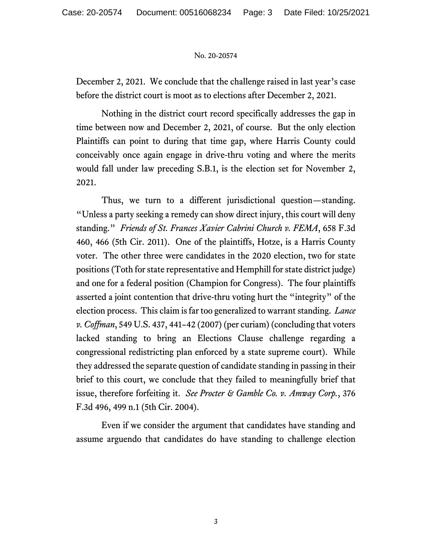December 2, 2021. We conclude that the challenge raised in last year's case before the district court is moot as to elections after December 2, 2021.

Nothing in the district court record specifically addresses the gap in time between now and December 2, 2021, of course. But the only election Plaintiffs can point to during that time gap, where Harris County could conceivably once again engage in drive-thru voting and where the merits would fall under law preceding S.B.1, is the election set for November 2, 2021.

Thus, we turn to a different jurisdictional question—standing. "Unless a party seeking a remedy can show direct injury, this court will deny standing." *Friends of St. Frances Xavier Cabrini Church v. FEMA*, 658 F.3d 460, 466 (5th Cir. 2011). One of the plaintiffs, Hotze, is a Harris County voter. The other three were candidates in the 2020 election, two for state positions (Toth for state representative and Hemphill for state district judge) and one for a federal position (Champion for Congress). The four plaintiffs asserted a joint contention that drive-thru voting hurt the "integrity" of the election process. This claim is far too generalized to warrant standing. *Lance v. Coffman*, 549 U.S. 437, 441–42 (2007) (per curiam) (concluding that voters lacked standing to bring an Elections Clause challenge regarding a congressional redistricting plan enforced by a state supreme court). While they addressed the separate question of candidate standing in passing in their brief to this court, we conclude that they failed to meaningfully brief that issue, therefore forfeiting it. *See Procter & Gamble Co. v. Amway Corp.*, 376 F.3d 496, 499 n.1 (5th Cir. 2004).

Even if we consider the argument that candidates have standing and assume arguendo that candidates do have standing to challenge election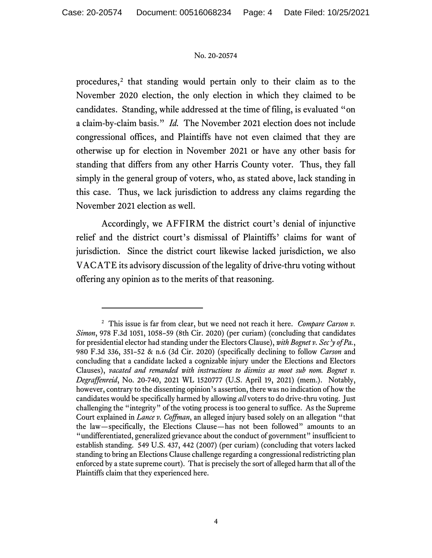procedures,<sup>[2](#page-3-0)</sup> that standing would pertain only to their claim as to the November 2020 election, the only election in which they claimed to be candidates. Standing, while addressed at the time of filing, is evaluated "on a claim-by-claim basis." *Id.* The November 2021 election does not include congressional offices, and Plaintiffs have not even claimed that they are otherwise up for election in November 2021 or have any other basis for standing that differs from any other Harris County voter. Thus, they fall simply in the general group of voters, who, as stated above, lack standing in this case. Thus, we lack jurisdiction to address any claims regarding the November 2021 election as well.

Accordingly, we AFFIRM the district court's denial of injunctive relief and the district court's dismissal of Plaintiffs' claims for want of jurisdiction. Since the district court likewise lacked jurisdiction, we also VACATE its advisory discussion of the legality of drive-thru voting without offering any opinion as to the merits of that reasoning.

<span id="page-3-0"></span><sup>2</sup> This issue is far from clear, but we need not reach it here. *Compare Carson v. Simon*, 978 F.3d 1051, 1058–59 (8th Cir. 2020) (per curiam) (concluding that candidates for presidential elector had standing under the Electors Clause), *with Bognet v. Sec'y of Pa.*, 980 F.3d 336, 351–52 & n.6 (3d Cir. 2020) (specifically declining to follow *Carson* and concluding that a candidate lacked a cognizable injury under the Elections and Electors Clauses), *vacated and remanded with instructions to dismiss as moot sub nom. Bognet v. Degraffenreid*, No. 20-740, 2021 WL 1520777 (U.S. April 19, 2021) (mem.). Notably, however, contrary to the dissenting opinion's assertion, there was no indication of how the candidates would be specifically harmed by allowing *all* voters to do drive-thru voting. Just challenging the "integrity" of the voting process is too general to suffice. As the Supreme Court explained in *Lance v. Coffman*, an alleged injury based solely on an allegation "that the law—specifically, the Elections Clause—has not been followed" amounts to an "undifferentiated, generalized grievance about the conduct of government" insufficient to establish standing. 549 U.S. 437, 442 (2007) (per curiam) (concluding that voters lacked standing to bring an Elections Clause challenge regarding a congressional redistricting plan enforced by a state supreme court). That is precisely the sort of alleged harm that all of the Plaintiffs claim that they experienced here.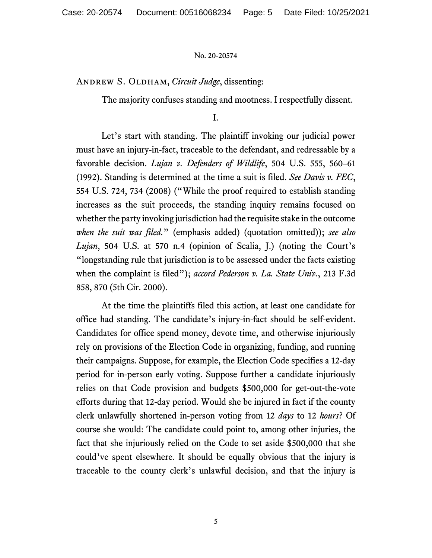ANDREW S. OLDHAM, *Circuit Judge*, dissenting:

The majority confuses standing and mootness. I respectfully dissent.

I.

Let's start with standing. The plaintiff invoking our judicial power must have an injury-in-fact, traceable to the defendant, and redressable by a favorable decision. *Lujan v. Defenders of Wildlife*, 504 U.S. 555, 560–61 (1992). Standing is determined at the time a suit is filed. *See Davis v. FEC*, 554 U.S. 724, 734 (2008) ("While the proof required to establish standing increases as the suit proceeds, the standing inquiry remains focused on whether the party invoking jurisdiction had the requisite stake in the outcome *when the suit was filed.*" (emphasis added) (quotation omitted)); *see also Lujan*, 504 U.S. at 570 n.4 (opinion of Scalia, J.) (noting the Court's "longstanding rule that jurisdiction is to be assessed under the facts existing when the complaint is filed"); *accord Pederson v. La. State Univ.*, 213 F.3d 858, 870 (5th Cir. 2000).

At the time the plaintiffs filed this action, at least one candidate for office had standing. The candidate's injury-in-fact should be self-evident. Candidates for office spend money, devote time, and otherwise injuriously rely on provisions of the Election Code in organizing, funding, and running their campaigns. Suppose, for example, the Election Code specifies a 12-day period for in-person early voting. Suppose further a candidate injuriously relies on that Code provision and budgets \$500,000 for get-out-the-vote efforts during that 12-day period. Would she be injured in fact if the county clerk unlawfully shortened in-person voting from 12 *days* to 12 *hours*? Of course she would: The candidate could point to, among other injuries, the fact that she injuriously relied on the Code to set aside \$500,000 that she could've spent elsewhere. It should be equally obvious that the injury is traceable to the county clerk's unlawful decision, and that the injury is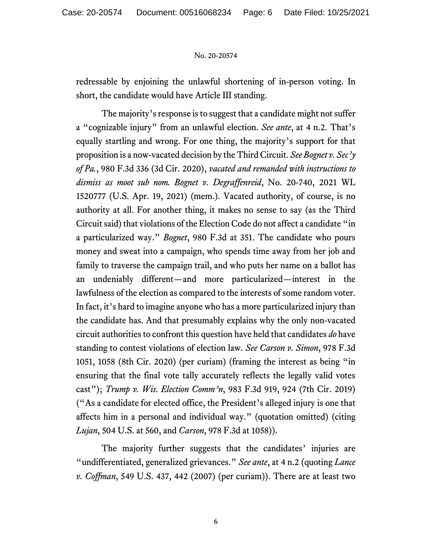redressable by enjoining the unlawful shortening of in-person voting. In short, the candidate would have Article III standing.

The majority's response is to suggest that a candidate might not suffer a "cognizable injury" from an unlawful election. *See ante*, at 4 n.2. That's equally startling and wrong. For one thing, the majority's support for that proposition is a now-vacated decision by the Third Circuit. *See Bognet v. Sec'y of Pa.*, 980 F.3d 336 (3d Cir. 2020), *vacated and remanded with instructions to dismiss as moot sub nom. Bognet v. Degraffenreid*, No. 20-740, 2021 WL 1520777 (U.S. Apr. 19, 2021) (mem.). Vacated authority, of course, is no authority at all. For another thing, it makes no sense to say (as the Third Circuit said) that violations of the Election Code do not affect a candidate "in a particularized way." *Bognet*, 980 F.3d at 351. The candidate who pours money and sweat into a campaign, who spends time away from her job and family to traverse the campaign trail, and who puts her name on a ballot has an undeniably different—and more particularized—interest in the lawfulness of the election as compared to the interests of some random voter. In fact, it's hard to imagine anyone who has a more particularized injury than the candidate has. And that presumably explains why the only non-vacated circuit authorities to confront this question have held that candidates *do* have standing to contest violations of election law. *See Carson v. Simon*, 978 F.3d 1051, 1058 (8th Cir. 2020) (per curiam) (framing the interest as being "in ensuring that the final vote tally accurately reflects the legally valid votes cast"); *Trump v. Wis. Election Comm'n*, 983 F.3d 919, 924 (7th Cir. 2019) ("As a candidate for elected office, the President's alleged injury is one that affects him in a personal and individual way." (quotation omitted) (citing *Lujan*, 504 U.S. at 560, and *Carson*, 978 F.3d at 1058)).

The majority further suggests that the candidates' injuries are "undifferentiated, generalized grievances." *See ante*, at 4 n.2 (quoting *Lance v. Coffman*, 549 U.S. 437, 442 (2007) (per curiam)). There are at least two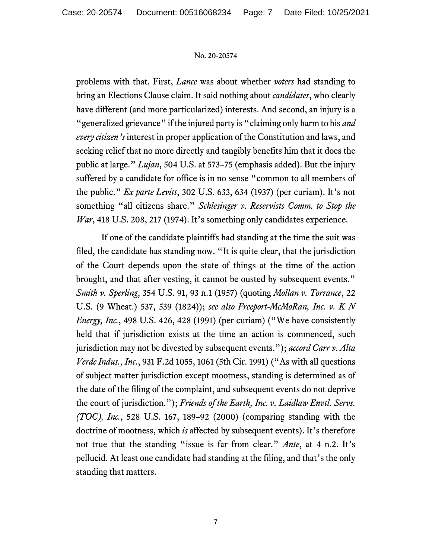problems with that. First, *Lance* was about whether *voters* had standing to bring an Elections Clause claim. It said nothing about *candidates*, who clearly have different (and more particularized) interests. And second, an injury is a "generalized grievance" if the injured party is "claiming only harm to his *and every citizen's* interest in proper application of the Constitution and laws, and seeking relief that no more directly and tangibly benefits him that it does the public at large." *Lujan*, 504 U.S. at 573–75 (emphasis added). But the injury suffered by a candidate for office is in no sense "common to all members of the public." *Ex parte Levitt*, 302 U.S. 633, 634 (1937) (per curiam). It's not something "all citizens share." *Schlesinger v. Reservists Comm. to Stop the War*, 418 U.S. 208, 217 (1974). It's something only candidates experience.

If one of the candidate plaintiffs had standing at the time the suit was filed, the candidate has standing now. "It is quite clear, that the jurisdiction of the Court depends upon the state of things at the time of the action brought, and that after vesting, it cannot be ousted by subsequent events." *Smith v. Sperling*, 354 U.S. 91, 93 n.1 (1957) (quoting *Mollan v. Torrance*, 22 U.S. (9 Wheat.) 537, 539 (1824)); *see also Freeport-McMoRan, Inc. v. K N Energy, Inc.*, 498 U.S. 426, 428 (1991) (per curiam) ("We have consistently held that if jurisdiction exists at the time an action is commenced, such jurisdiction may not be divested by subsequent events."); *accord Carr v. Alta Verde Indus., Inc.*, 931 F.2d 1055, 1061 (5th Cir. 1991) ("As with all questions of subject matter jurisdiction except mootness, standing is determined as of the date of the filing of the complaint, and subsequent events do not deprive the court of jurisdiction."); *Friends of the Earth, Inc. v. Laidlaw Envtl. Servs. (TOC), Inc.*, 528 U.S. 167, 189–92 (2000) (comparing standing with the doctrine of mootness, which *is* affected by subsequent events). It's therefore not true that the standing "issue is far from clear." *Ante*, at 4 n.2. It's pellucid. At least one candidate had standing at the filing, and that's the only standing that matters.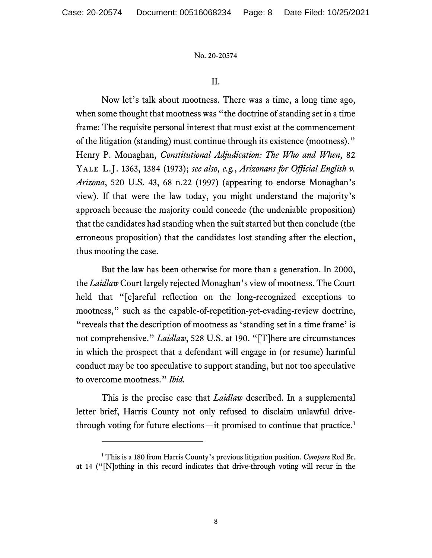II.

Now let's talk about mootness. There was a time, a long time ago, when some thought that mootness was "the doctrine of standing set in a time frame: The requisite personal interest that must exist at the commencement of the litigation (standing) must continue through its existence (mootness)." Henry P. Monaghan, *Constitutional Adjudication: The Who and When*, 82 Yale L.J. 1363, 1384 (1973); *see also, e.g.*, *Arizonans for Official English v. Arizona*, 520 U.S. 43, 68 n.22 (1997) (appearing to endorse Monaghan's view). If that were the law today, you might understand the majority's approach because the majority could concede (the undeniable proposition) that the candidates had standing when the suit started but then conclude (the erroneous proposition) that the candidates lost standing after the election, thus mooting the case.

But the law has been otherwise for more than a generation. In 2000, the *Laidlaw* Court largely rejected Monaghan's view of mootness. The Court held that "[c]areful reflection on the long-recognized exceptions to mootness," such as the capable-of-repetition-yet-evading-review doctrine, "reveals that the description of mootness as 'standing set in a time frame' is not comprehensive." *Laidlaw*, 528 U.S. at 190. "[T]here are circumstances in which the prospect that a defendant will engage in (or resume) harmful conduct may be too speculative to support standing, but not too speculative to overcome mootness." *Ibid.*

This is the precise case that *Laidlaw* described. In a supplemental letter brief, Harris County not only refused to disclaim unlawful drive-through voting for future elections—it promised to continue that practice.<sup>[1](#page-7-0)</sup>

<span id="page-7-0"></span><sup>1</sup> This is a 180 from Harris County's previous litigation position. *Compare* Red Br. at 14 ("[N]othing in this record indicates that drive-through voting will recur in the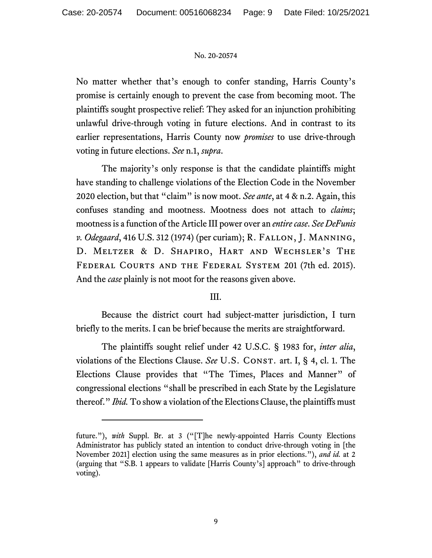No matter whether that's enough to confer standing, Harris County's promise is certainly enough to prevent the case from becoming moot. The plaintiffs sought prospective relief: They asked for an injunction prohibiting unlawful drive-through voting in future elections. And in contrast to its earlier representations, Harris County now *promises* to use drive-through voting in future elections. *See* n.1, *supra*.

The majority's only response is that the candidate plaintiffs might have standing to challenge violations of the Election Code in the November 2020 election, but that "claim" is now moot. *See ante*, at 4 & n.2. Again, this confuses standing and mootness. Mootness does not attach to *claims*; mootness is a function of the Article III power over an *entire case*. *See DeFunis v. Odegaard*, 416 U.S. 312 (1974) (per curiam); R. Fallon, J. Manning, D. MELTZER & D. SHAPIRO, HART AND WECHSLER'S THE Federal Courts and the Federal System 201 (7th ed. 2015). And the *case* plainly is not moot for the reasons given above.

# III.

Because the district court had subject-matter jurisdiction, I turn briefly to the merits. I can be brief because the merits are straightforward.

The plaintiffs sought relief under 42 U.S.C. § 1983 for, *inter alia*, violations of the Elections Clause. *See* U.S. CONST. art. I, § 4, cl. 1. The Elections Clause provides that "The Times, Places and Manner" of congressional elections "shall be prescribed in each State by the Legislature thereof." *Ibid.* To show a violation of the Elections Clause, the plaintiffs must

future."), *with* Suppl. Br. at 3 ("[T]he newly-appointed Harris County Elections Administrator has publicly stated an intention to conduct drive-through voting in [the November 2021] election using the same measures as in prior elections."), *and id.* at 2 (arguing that "S.B. 1 appears to validate [Harris County's] approach" to drive-through voting).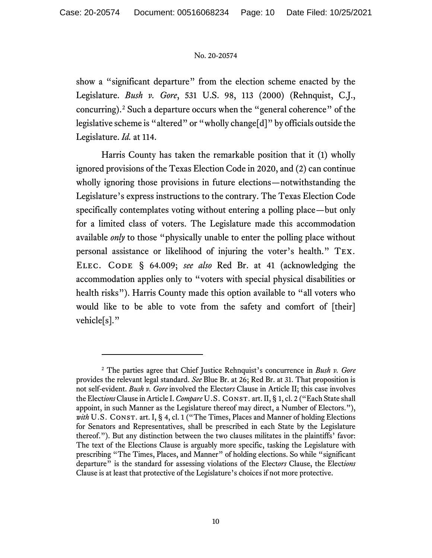show a "significant departure" from the election scheme enacted by the Legislature. *Bush v. Gore*, 531 U.S. 98, 113 (2000) (Rehnquist, C.J., concurring).[2](#page-9-0) Such a departure occurs when the "general coherence" of the legislative scheme is "altered" or "wholly change[d]" by officials outside the Legislature. *Id.* at 114.

Harris County has taken the remarkable position that it (1) wholly ignored provisions of the Texas Election Code in 2020, and (2) can continue wholly ignoring those provisions in future elections—notwithstanding the Legislature's express instructions to the contrary. The Texas Election Code specifically contemplates voting without entering a polling place—but only for a limited class of voters. The Legislature made this accommodation available *only* to those "physically unable to enter the polling place without personal assistance or likelihood of injuring the voter's health." Tex. ELEC. CODE § 64.009; see also Red Br. at 41 (acknowledging the accommodation applies only to "voters with special physical disabilities or health risks"). Harris County made this option available to "all voters who would like to be able to vote from the safety and comfort of [their] vehicle[s]."

<span id="page-9-0"></span><sup>2</sup> The parties agree that Chief Justice Rehnquist's concurrence in *Bush v. Gore*  provides the relevant legal standard. *See* Blue Br. at 26; Red Br. at 31. That proposition is not self-evident. *Bush v. Gore* involved the Elect*ors* Clause in Article II; this case involves the Elect*ions*Clause in Article I. *Compare* U.S. Const. art. II, § 1, cl. 2 ("Each State shall appoint, in such Manner as the Legislature thereof may direct, a Number of Electors."), *with* U.S. CONST. art. I, § 4, cl. 1 ("The Times, Places and Manner of holding Elections for Senators and Representatives, shall be prescribed in each State by the Legislature thereof."). But any distinction between the two clauses militates in the plaintiffs' favor: The text of the Elections Clause is arguably more specific, tasking the Legislature with prescribing "The Times, Places, and Manner" of holding elections. So while "significant departure" is the standard for assessing violations of the Elect*ors* Clause, the Elect*ions*  Clause is at least that protective of the Legislature's choices if not more protective.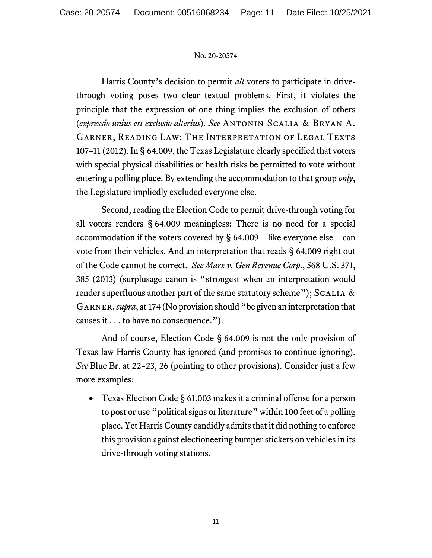Harris County's decision to permit *all* voters to participate in drivethrough voting poses two clear textual problems. First, it violates the principle that the expression of one thing implies the exclusion of others (*expressio unius est exclusio alterius*). *See* Antonin Scalia & Bryan A. Garner, Reading Law: The Interpretation of Legal Texts 107–11 (2012). In § 64.009, the Texas Legislature clearly specified that voters with special physical disabilities or health risks be permitted to vote without entering a polling place. By extending the accommodation to that group *only*, the Legislature impliedly excluded everyone else.

Second, reading the Election Code to permit drive-through voting for all voters renders § 64.009 meaningless: There is no need for a special accommodation if the voters covered by § 64.009—like everyone else—can vote from their vehicles. And an interpretation that reads § 64.009 right out of the Code cannot be correct. *See Marx v. Gen Revenue Corp*., 568 U.S. 371, 385 (2013) (surplusage canon is "strongest when an interpretation would render superfluous another part of the same statutory scheme"); SCALIA  $\&$ Garner, *supra*, at 174 (No provision should "be given an interpretation that causes it . . . to have no consequence.").

And of course, Election Code § 64.009 is not the only provision of Texas law Harris County has ignored (and promises to continue ignoring). *See* Blue Br. at 22–23, 26 (pointing to other provisions). Consider just a few more examples:

• Texas Election Code § 61.003 makes it a criminal offense for a person to post or use "political signs or literature" within 100 feet of a polling place. Yet Harris County candidly admits that it did nothing to enforce this provision against electioneering bumper stickers on vehicles in its drive-through voting stations.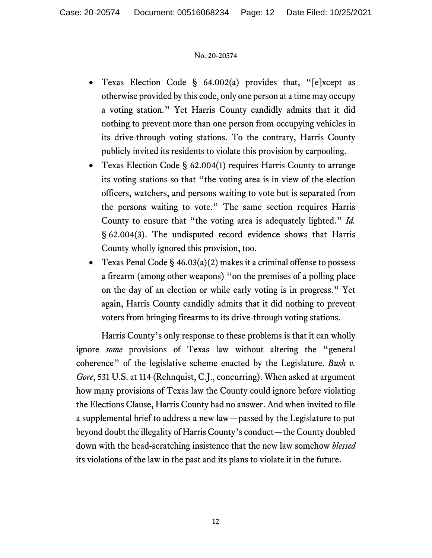- Texas Election Code §  $64.002(a)$  provides that, "[e]xcept as otherwise provided by this code, only one person at a time may occupy a voting station." Yet Harris County candidly admits that it did nothing to prevent more than one person from occupying vehicles in its drive-through voting stations. To the contrary, Harris County publicly invited its residents to violate this provision by carpooling.
- Texas Election Code § 62.004(1) requires Harris County to arrange its voting stations so that "the voting area is in view of the election officers, watchers, and persons waiting to vote but is separated from the persons waiting to vote." The same section requires Harris County to ensure that "the voting area is adequately lighted." *Id.* § 62.004(3). The undisputed record evidence shows that Harris County wholly ignored this provision, too.
- Texas Penal Code  $\S$  46.03(a)(2) makes it a criminal offense to possess a firearm (among other weapons) "on the premises of a polling place on the day of an election or while early voting is in progress." Yet again, Harris County candidly admits that it did nothing to prevent voters from bringing firearms to its drive-through voting stations.

Harris County's only response to these problems is that it can wholly ignore *some* provisions of Texas law without altering the "general coherence" of the legislative scheme enacted by the Legislature. *Bush v. Gore*, 531 U.S. at 114 (Rehnquist, C.J., concurring). When asked at argument how many provisions of Texas law the County could ignore before violating the Elections Clause, Harris County had no answer. And when invited to file a supplemental brief to address a new law—passed by the Legislature to put beyond doubt the illegality of Harris County's conduct—theCounty doubled down with the head-scratching insistence that the new law somehow *blessed* its violations of the law in the past and its plans to violate it in the future.